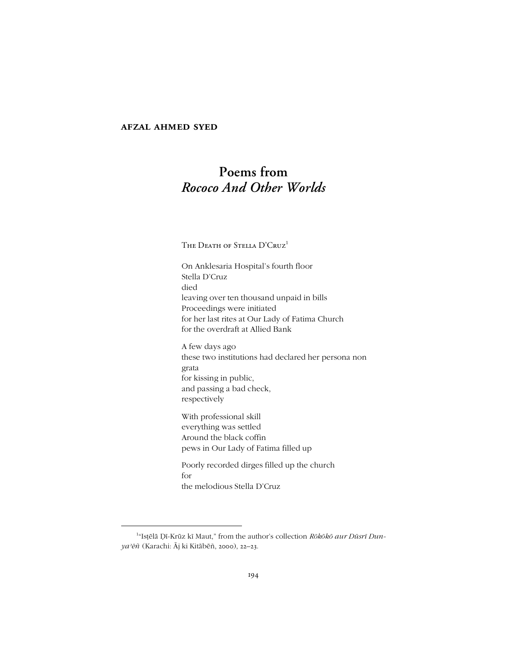## **afzal ahmed syed**

# **Poems from** *Rococo And Other Worlds*

The Death of Stella D'Cruz<sup>1</sup>

On Anklesaria Hospital's fourth floor Stella D'Cruz died leaving over ten thousand unpaid in bills Proceedings were initiated for her last rites at Our Lady of Fatima Church for the overdraft at Allied Bank

A few days ago these two institutions had declared her persona non grata for kissing in public, and passing a bad check, respectively

With professional skill everything was settled Around the black coffin pews in Our Lady of Fatima filled up

Poorly recorded dirges filled up the church for the melodious Stella D'Cruz

 <sup>1</sup> <sup>1</sup>"Isțēlā Dī-Krūz kī Maut," from the author's collection *Rōkōkō aur Dūsrī Dunya*<sup>2</sup>ēñ (Karachi: Āj ki Kitābēñ, 2000), 22-23.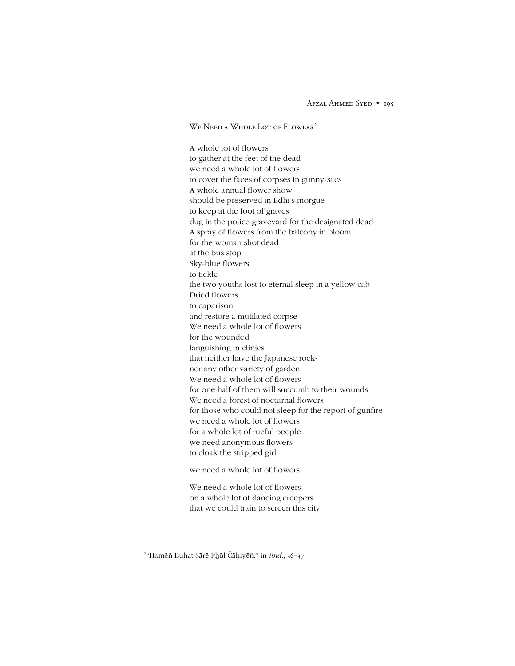Afzal Ahmed Syed • 195

We Need a Whole Lot of Flowers 2

A whole lot of flowers to gather at the feet of the dead we need a whole lot of flowers to cover the faces of corpses in gunny-sacs A whole annual flower show should be preserved in Edhi's morgue to keep at the foot of graves dug in the police graveyard for the designated dead A spray of flowers from the balcony in bloom for the woman shot dead at the bus stop Sky-blue flowers to tickle the two youths lost to eternal sleep in a yellow cab Dried flowers to caparison and restore a mutilated corpse We need a whole lot of flowers for the wounded languishing in clinics that neither have the Japanese rocknor any other variety of garden We need a whole lot of flowers for one half of them will succumb to their wounds We need a forest of nocturnal flowers for those who could not sleep for the report of gunfire we need a whole lot of flowers for a whole lot of rueful people we need anonymous flowers to cloak the stripped girl

we need a whole lot of flowers

We need a whole lot of flowers on a whole lot of dancing creepers that we could train to screen this city

 $\overline{\phantom{a}}$ <sup>2</sup>"Hamēñ Buhat Sārē Phūl Čāhiyēñ," in *ibid.*, 36-37.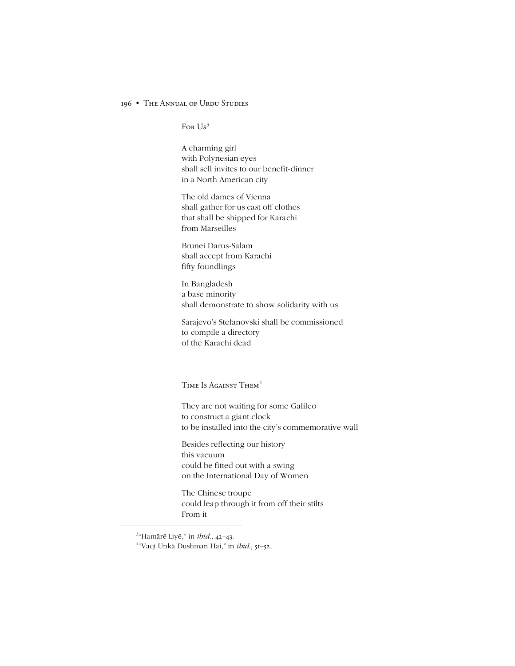### 196 • The Annual of Urdu Studies

For  $Us^3$ 

A charming girl with Polynesian eyes shall sell invites to our benefit-dinner in a North American city

The old dames of Vienna shall gather for us cast off clothes that shall be shipped for Karachi from Marseilles

Brunei Darus-Salam shall accept from Karachi fifty foundlings

In Bangladesh a base minority shall demonstrate to show solidarity with us

Sarajevo's Stefanovski shall be commissioned to compile a directory of the Karachi dead

TIME IS AGAINST THEM<sup>4</sup>

They are not waiting for some Galileo to construct a giant clock to be installed into the city's commemorative wall

Besides reflecting our history this vacuum could be fitted out with a swing on the International Day of Women

The Chinese troupe could leap through it from off their stilts From it

 $\frac{3}{3}$ <sup>3</sup>"Hamārē Liyē," in *ibid.*, 42-43.

<sup>&</sup>lt;sup>4</sup>"Vaqt Unkā Dushman Hai," in *ibid*., 51–52.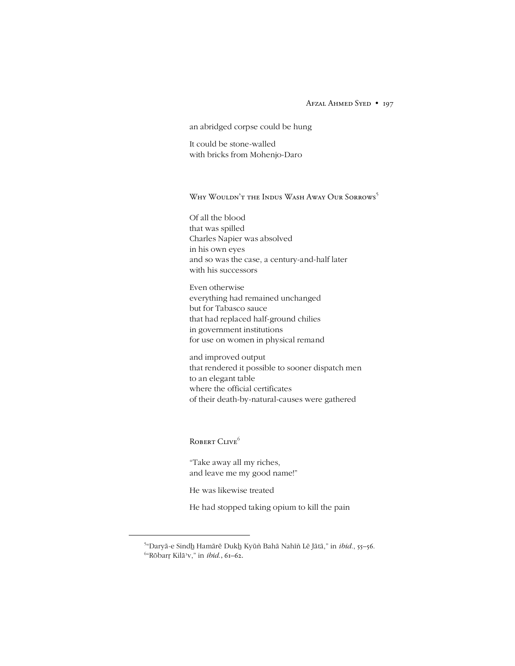### Afzal Ahmed Syed • 197

an abridged corpse could be hung

It could be stone-walled with bricks from Mohenjo-Daro

Why Wouldn't the Indus Wash Away Our Sorrows 5

Of all the blood that was spilled Charles Napier was absolved in his own eyes and so was the case, a century-and-half later with his successors

Even otherwise everything had remained unchanged but for Tabasco sauce that had replaced half-ground chilies in government institutions for use on women in physical remand

and improved output that rendered it possible to sooner dispatch men to an elegant table where the official certificates of their death-by-natural-causes were gathered

ROBERT CLIVE<sup>6</sup>

ìTake away all my riches, and leave me my good name!"

He was likewise treated

He had stopped taking opium to kill the pain

 $\frac{1}{5}$ <sup>5</sup>"Daryā-e Sindh Hamārē Dukh Kyūñ Bahā Nahīñ Lē Jātā," in *ibid.*, 55-56. <sup>6</sup>"Rōbarŗ Kilā<sup>,</sup>v," in *ibid*., 61–62.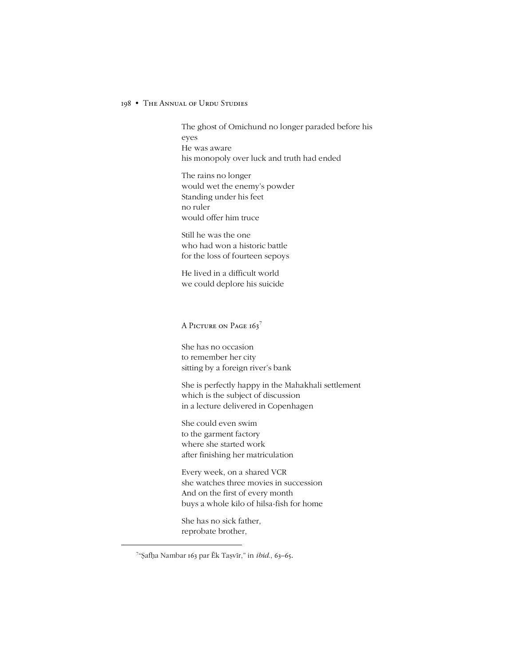### 198 • The Annual of Urdu Studies

The ghost of Omichund no longer paraded before his eyes He was aware his monopoly over luck and truth had ended

The rains no longer would wet the enemy's powder Standing under his feet no ruler would offer him truce

Still he was the one who had won a historic battle for the loss of fourteen sepoys

He lived in a difficult world we could deplore his suicide

A Picture on Page 163<sup>7</sup>

She has no occasion to remember her city sitting by a foreign river's bank

She is perfectly happy in the Mahakhali settlement which is the subject of discussion in a lecture delivered in Copenhagen

She could even swim to the garment factory where she started work after finishing her matriculation

Every week, on a shared VCR she watches three movies in succession And on the first of every month buys a whole kilo of hilsa-fish for home

She has no sick father, reprobate brother,

 <sup>7</sup> <sup>7</sup>"Şafḥa Nambar 163 par Ēk Taṣvīr," in *ibid.*, 63-65.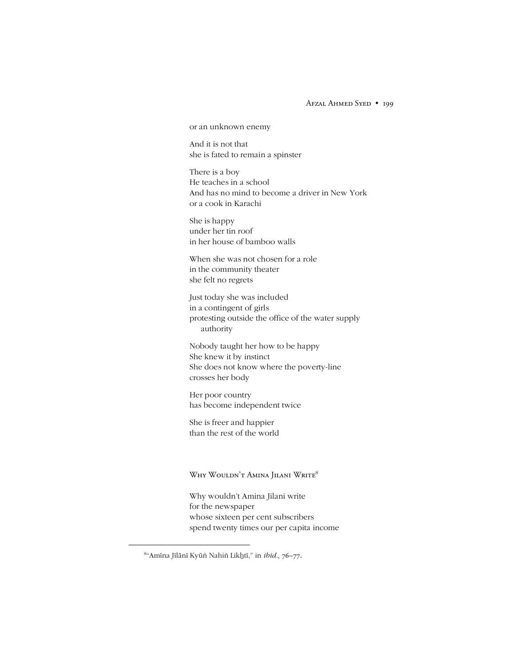Afzal Ahmed Syed • 199

or an unknown enemy

And it is not that she is fated to remain a spinster

There is a boy He teaches in a school And has no mind to become a driver in New York or a cook in Karachi

She is happy under her tin roof in her house of bamboo walls

When she was not chosen for a role in the community theater she felt no regrets

Just today she was included in a contingent of girls protesting outside the office of the water supply authority

Nobody taught her how to be happy She knew it by instinct She does not know where the poverty-line crosses her body

Her poor country has become independent twice

She is freer and happier than the rest of the world

Why Wouldn't Amina Jilani Write<sup>8</sup>

Why wouldnít Amina Jilani write for the newspaper whose sixteen per cent subscribers spend twenty times our per capita income

<sup>&</sup>lt;sup>8</sup>"Amīna Jīlānī Kyūñ Nahiñ Likḫtī," in *ibid.*, 76–77.